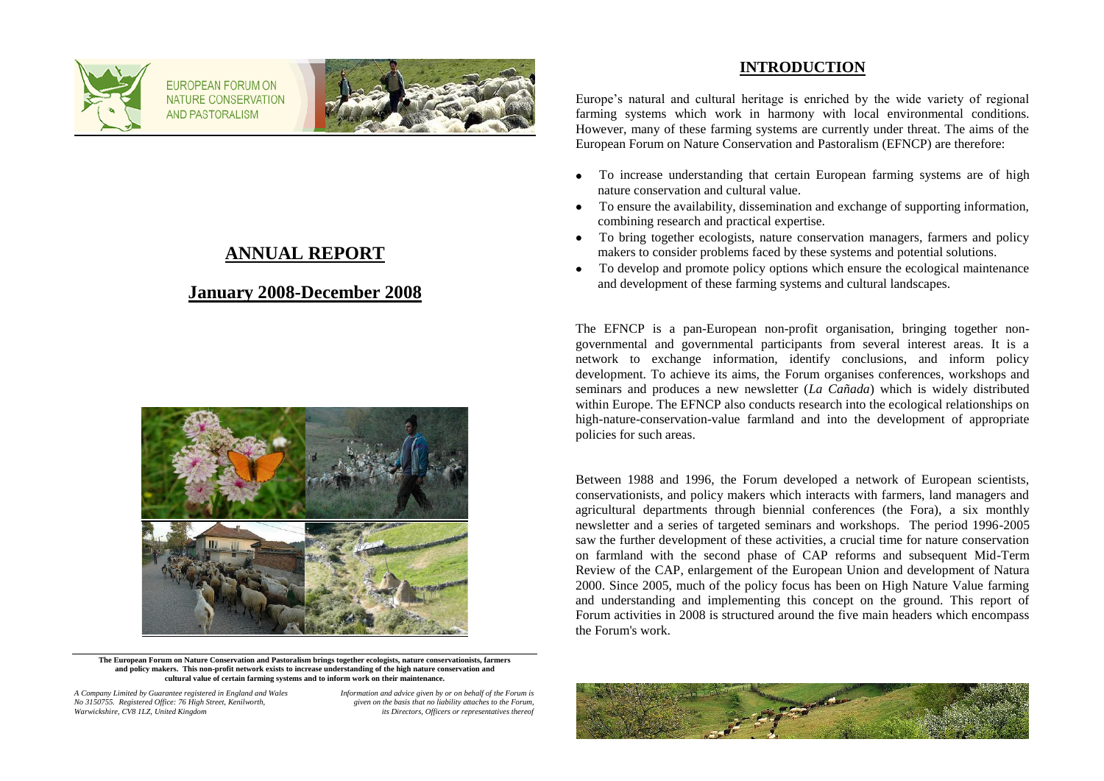

FUROPEAN FORUM ON NATURE CONSERVATION **AND PASTORALISM** 



## **ANNUAL REPORT**

## **January 2008-December 2008**



**The European Forum on Nature Conservation and Pastoralism brings together ecologists, nature conservationists, farmers and policy makers. This non-profit network exists to increase understanding of the high nature conservation and cultural value of certain farming systems and to inform work on their maintenance.**

*A Company Limited by Guarantee registered in England and Wales Information and advice given by or on behalf of the Forum is No 3150755. Registered Office: 76 High Street, Kenilworth, given on the basis that no liability attaches to the Forum,*

*its Directors, Officers or representatives thereof* 

### **INTRODUCTION**

Europe's natural and cultural heritage is enriched by the wide variety of regional farming systems which work in harmony with local environmental conditions. However, many of these farming systems are currently under threat. The aims of the European Forum on Nature Conservation and Pastoralism (EFNCP) are therefore:

- To increase understanding that certain European farming systems are of high  $\bullet$ nature conservation and cultural value.
- To ensure the availability, dissemination and exchange of supporting information, combining research and practical expertise.
- To bring together ecologists, nature conservation managers, farmers and policy makers to consider problems faced by these systems and potential solutions.
- To develop and promote policy options which ensure the ecological maintenance  $\bullet$ and development of these farming systems and cultural landscapes.

The EFNCP is a pan-European non-profit organisation, bringing together nongovernmental and governmental participants from several interest areas. It is a network to exchange information, identify conclusions, and inform policy development. To achieve its aims, the Forum organises conferences, workshops and seminars and produces a new newsletter (*La Cañada*) which is widely distributed within Europe. The EFNCP also conducts research into the ecological relationships on high-nature-conservation-value farmland and into the development of appropriate policies for such areas.

Between 1988 and 1996, the Forum developed a network of European scientists, conservationists, and policy makers which interacts with farmers, land managers and agricultural departments through biennial conferences (the Fora), a six monthly newsletter and a series of targeted seminars and workshops. The period 1996-2005 saw the further development of these activities, a crucial time for nature conservation on farmland with the second phase of CAP reforms and subsequent Mid-Term Review of the CAP, enlargement of the European Union and development of Natura 2000. Since 2005, much of the policy focus has been on High Nature Value farming and understanding and implementing this concept on the ground. This report of Forum activities in 2008 is structured around the five main headers which encompass the Forum's work.

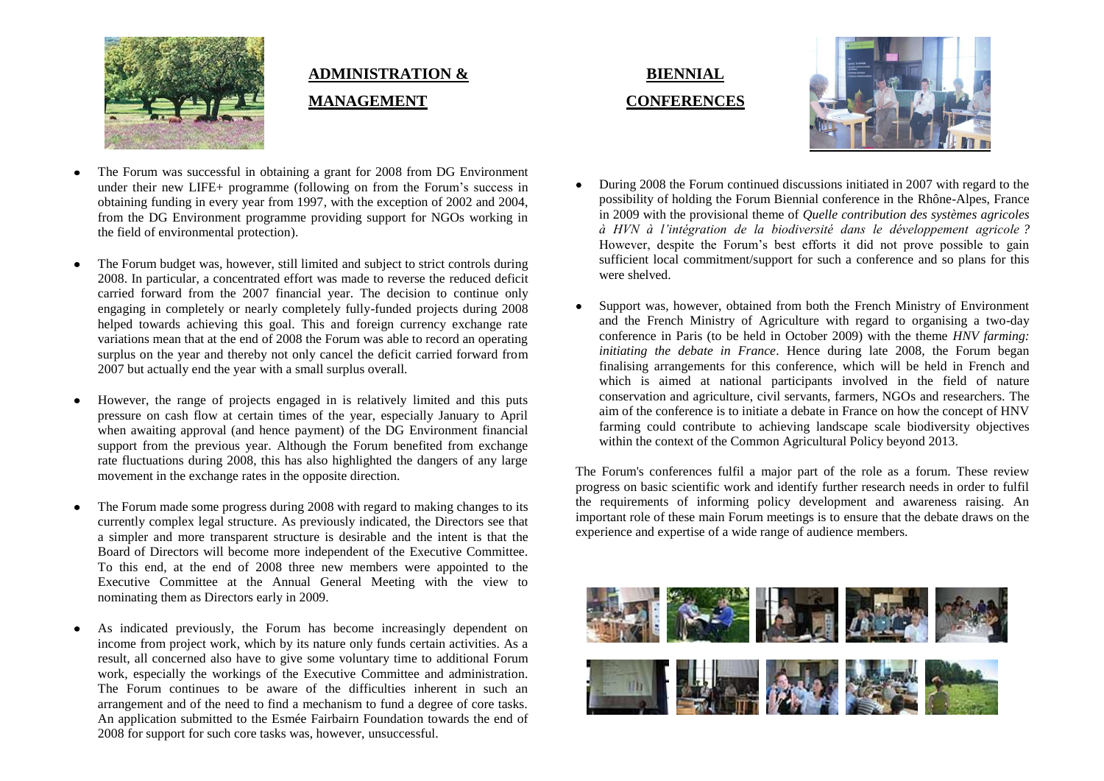

# **ADMINISTRATION & MANAGEMENT**

- The Forum was successful in obtaining a grant for 2008 from DG Environment under their new LIFE+ programme (following on from the Forum's success in obtaining funding in every year from 1997, with the exception of 2002 and 2004, from the DG Environment programme providing support for NGOs working in the field of environmental protection).
- The Forum budget was, however, still limited and subject to strict controls during 2008. In particular, a concentrated effort was made to reverse the reduced deficit carried forward from the 2007 financial year. The decision to continue only engaging in completely or nearly completely fully-funded projects during 2008 helped towards achieving this goal. This and foreign currency exchange rate variations mean that at the end of 2008 the Forum was able to record an operating surplus on the year and thereby not only cancel the deficit carried forward from 2007 but actually end the year with a small surplus overall.
- However, the range of projects engaged in is relatively limited and this puts pressure on cash flow at certain times of the year, especially January to April when awaiting approval (and hence payment) of the DG Environment financial support from the previous year. Although the Forum benefited from exchange rate fluctuations during 2008, this has also highlighted the dangers of any large movement in the exchange rates in the opposite direction.
- The Forum made some progress during 2008 with regard to making changes to its currently complex legal structure. As previously indicated, the Directors see that a simpler and more transparent structure is desirable and the intent is that the Board of Directors will become more independent of the Executive Committee. To this end, at the end of 2008 three new members were appointed to the Executive Committee at the Annual General Meeting with the view to nominating them as Directors early in 2009.
- As indicated previously, the Forum has become increasingly dependent on income from project work, which by its nature only funds certain activities. As a result, all concerned also have to give some voluntary time to additional Forum work, especially the workings of the Executive Committee and administration. The Forum continues to be aware of the difficulties inherent in such an arrangement and of the need to find a mechanism to fund a degree of core tasks. An application submitted to the Esmée Fairbairn Foundation towards the end of 2008 for support for such core tasks was, however, unsuccessful.





- During 2008 the Forum continued discussions initiated in 2007 with regard to the possibility of holding the Forum Biennial conference in the Rhône-Alpes, France in 2009 with the provisional theme of *Quelle contribution des systèmes agricoles à HVN à l'intégration de la biodiversité dans le développement agricole ?* However, despite the Forum's best efforts it did not prove possible to gain sufficient local commitment/support for such a conference and so plans for this were shelved.
- Support was, however, obtained from both the French Ministry of Environment and the French Ministry of Agriculture with regard to organising a two-day conference in Paris (to be held in October 2009) with the theme *HNV farming: initiating the debate in France*. Hence during late 2008, the Forum began finalising arrangements for this conference, which will be held in French and which is aimed at national participants involved in the field of nature conservation and agriculture, civil servants, farmers, NGOs and researchers. The aim of the conference is to initiate a debate in France on how the concept of HNV farming could contribute to achieving landscape scale biodiversity objectives within the context of the Common Agricultural Policy beyond 2013.

The Forum's conferences fulfil a major part of the role as a forum. These review progress on basic scientific work and identify further research needs in order to fulfil the requirements of informing policy development and awareness raising. An important role of these main Forum meetings is to ensure that the debate draws on the experience and expertise of a wide range of audience members.

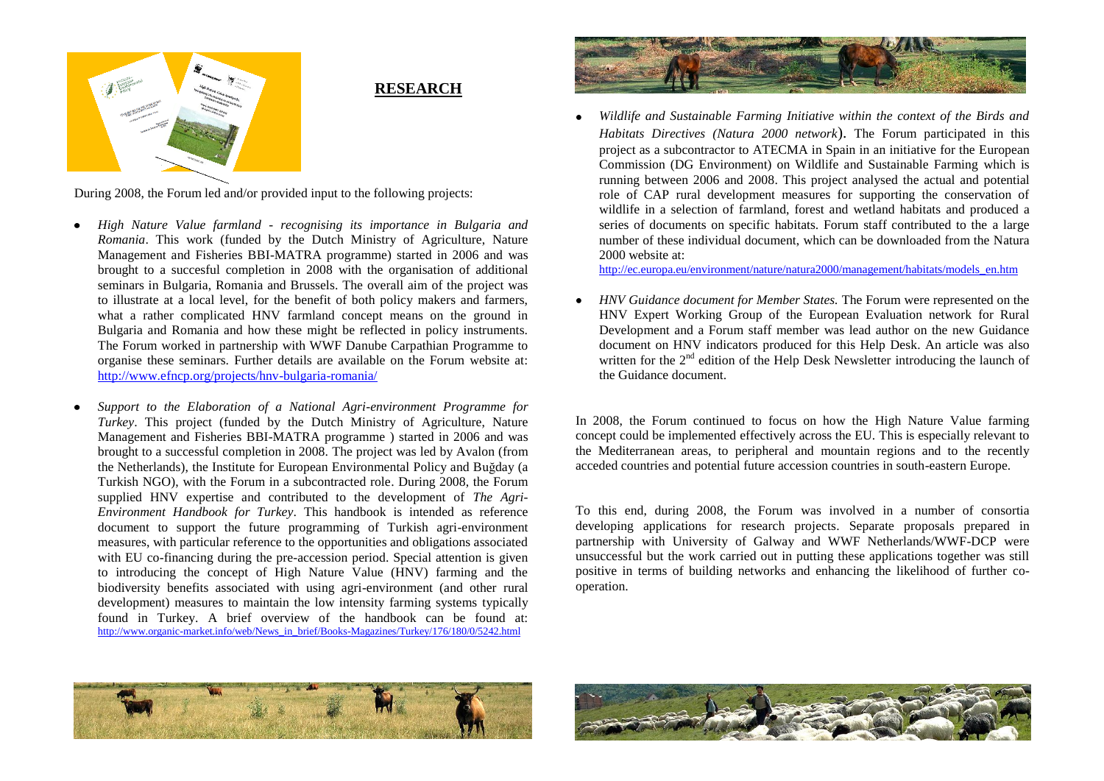

**RESEARCH**

During 2008, the Forum led and/or provided input to the following projects:

- *High Nature Value farmland - recognising its importance in Bulgaria and Romania*. This work (funded by the Dutch Ministry of Agriculture, Nature Management and Fisheries BBI-MATRA programme) started in 2006 and was brought to a succesful completion in 2008 with the organisation of additional seminars in Bulgaria, Romania and Brussels. The overall aim of the project was to illustrate at a local level, for the benefit of both policy makers and farmers, what a rather complicated HNV farmland concept means on the ground in Bulgaria and Romania and how these might be reflected in policy instruments. The Forum worked in partnership with WWF Danube Carpathian Programme to organise these seminars. Further details are available on the Forum website at: <http://www.efncp.org/projects/hnv-bulgaria-romania/>
- *Support to the Elaboration of a National Agri-environment Programme for Turkey*. This project (funded by the Dutch Ministry of Agriculture, Nature Management and Fisheries BBI-MATRA programme ) started in 2006 and was brought to a successful completion in 2008. The project was led by Avalon (from the Netherlands), the Institute for European Environmental Policy and Buğday (a Turkish NGO), with the Forum in a subcontracted role. During 2008, the Forum supplied HNV expertise and contributed to the development of *The Agri-Environment Handbook for Turkey*. This handbook is intended as reference document to support the future programming of Turkish agri-environment measures, with particular reference to the opportunities and obligations associated with EU co-financing during the pre-accession period. Special attention is given to introducing the concept of High Nature Value (HNV) farming and the biodiversity benefits associated with using agri-environment (and other rural development) measures to maintain the low intensity farming systems typically found in Turkey. A brief overview of the handbook can be found at: [http://www.organic-market.info/web/News\\_in\\_brief/Books-Magazines/Turkey/176/180/0/5242.html](http://www.organic-market.info/web/News_in_brief/Books-Magazines/Turkey/176/180/0/5242.html)



*Wildlife and Sustainable Farming Initiative within the context of the Birds and Habitats Directives (Natura 2000 network*). The Forum participated in this project as a subcontractor to ATECMA in Spain in an initiative for the European Commission (DG Environment) on Wildlife and Sustainable Farming which is running between 2006 and 2008. This project analysed the actual and potential role of CAP rural development measures for supporting the conservation of wildlife in a selection of farmland, forest and wetland habitats and produced a series of documents on specific habitats. Forum staff contributed to the a large number of these individual document, which can be downloaded from the Natura 2000 website at:

[http://ec.europa.eu/environment/nature/natura2000/management/habitats/models\\_en.htm](http://ec.europa.eu/environment/nature/natura2000/management/habitats/models_en.htm)

*HNV Guidance document for Member States.* The Forum were represented on the HNV Expert Working Group of the European Evaluation network for Rural Development and a Forum staff member was lead author on the new Guidance document on HNV indicators produced for this Help Desk. An article was also written for the  $2<sup>nd</sup>$  edition of the Help Desk Newsletter introducing the launch of the Guidance document.

In 2008, the Forum continued to focus on how the High Nature Value farming concept could be implemented effectively across the EU. This is especially relevant to the Mediterranean areas, to peripheral and mountain regions and to the recently acceded countries and potential future accession countries in south-eastern Europe.

To this end, during 2008, the Forum was involved in a number of consortia developing applications for research projects. Separate proposals prepared in partnership with University of Galway and WWF Netherlands/WWF-DCP were unsuccessful but the work carried out in putting these applications together was still positive in terms of building networks and enhancing the likelihood of further cooperation.



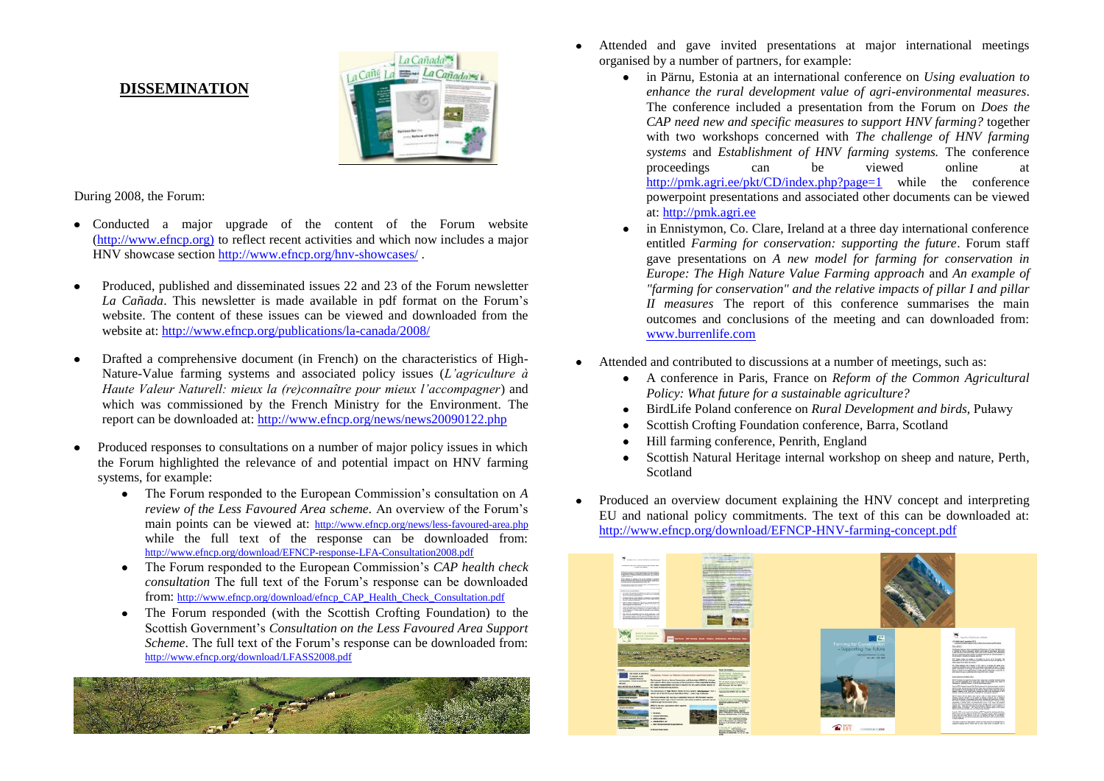#### **DISSEMINATION**



During 2008, the Forum:

- Conducted a major upgrade of the content of the Forum website [\(http://www.efncp.org\)](http://www.efncp.org)/) to reflect recent activities and which now includes a major HNV showcase sectio[n http://www.efncp.org/hnv-showcases/](http://www.efncp.org/hnv-showcases/) .
- Produced, published and disseminated issues 22 and 23 of the Forum newsletter  $\bullet$ *La Cañada*. This newsletter is made available in pdf format on the Forum's website. The content of these issues can be viewed and downloaded from the website at:<http://www.efncp.org/publications/la-canada/2008/>
- Drafted a comprehensive document (in French) on the characteristics of High-Nature-Value farming systems and associated policy issues (*L'agriculture à Haute Valeur Naturell: mieux la (re)connaître pour mieux l'accompagner*) and which was commissioned by the French Ministry for the Environment. The report can be downloaded at:<http://www.efncp.org/news/news20090122.php>
- Produced responses to consultations on a number of major policy issues in which the Forum highlighted the relevance of and potential impact on HNV farming systems, for example:
	- The Forum responded to the European Commission's consultation on *A review of the Less Favoured Area scheme.* An overview of the Forum's main points can be viewed at: <http://www.efncp.org/news/less-favoured-area.php> while the full text of the response can be downloaded from: <http://www.efncp.org/download/EFNCP-response-LFA-Consultation2008.pdf>
	- The Forum responded to the European Commission's *CAP health check consultation* The full text of the Forum's response can be downloaded from: [http://www.efncp.org/download/efncp\\_CAP\\_Health\\_Check\\_Consultation.pdf](http://www.efncp.org/download/efncp_CAP_Health_Check_Consultation.pdf)
	- The Forum responded (with the Scottish Crofting Foundation) to the  $\bullet$ Scottish Government's *Consultation on the Less Favoured Area Support Scheme*. The full text of the Forum's response can be downloaded from: <http://www.efncp.org/download/LFASS2008.pdf>



- Attended and gave invited presentations at major international meetings organised by a number of partners, for example:
	- in Pärnu, Estonia at an international conference on *Using evaluation to enhance the rural development value of agri-environmental measures*. The conference included a presentation from the Forum on *Does the CAP need new and specific measures to support HNV farming?* together with two workshops concerned with *The challenge of HNV farming systems* and *Establishment of HNV farming systems.* The conference proceedings can be viewed online at <http://pmk.agri.ee/pkt/CD/index.php?page=1> while the conference powerpoint presentations and associated other documents can be viewed at: [http://pmk.agri.ee](http://pmk.agri.ee/)
	- in Ennistymon, Co. Clare, Ireland at a three day international conference entitled *Farming for conservation: supporting the future*. Forum staff gave presentations on *A new model for farming for conservation in Europe: The High Nature Value Farming approach* and *An example of "farming for conservation" and the relative impacts of pillar I and pillar II measures* The report of this conference summarises the main outcomes and conclusions of the meeting and can downloaded from: [www.burrenlife.com](http://www.burrenlife.com/reports-publications.php)
- Attended and contributed to discussions at a number of meetings, such as:
	- A conference in Paris, France on *Reform of the Common Agricultural Policy: What future for a sustainable agriculture?*
	- BirdLife Poland conference on *Rural Development and birds*, Puławy  $\bullet$
	- Scottish Crofting Foundation conference, Barra, Scotland
	- Hill farming conference, Penrith, England
	- Scottish Natural Heritage internal workshop on sheep and nature, Perth, Scotland
- Produced an overview document explaining the HNV concept and interpreting EU and national policy commitments. The text of this can be downloaded at: <http://www.efncp.org/download/EFNCP-HNV-farming-concept.pdf>

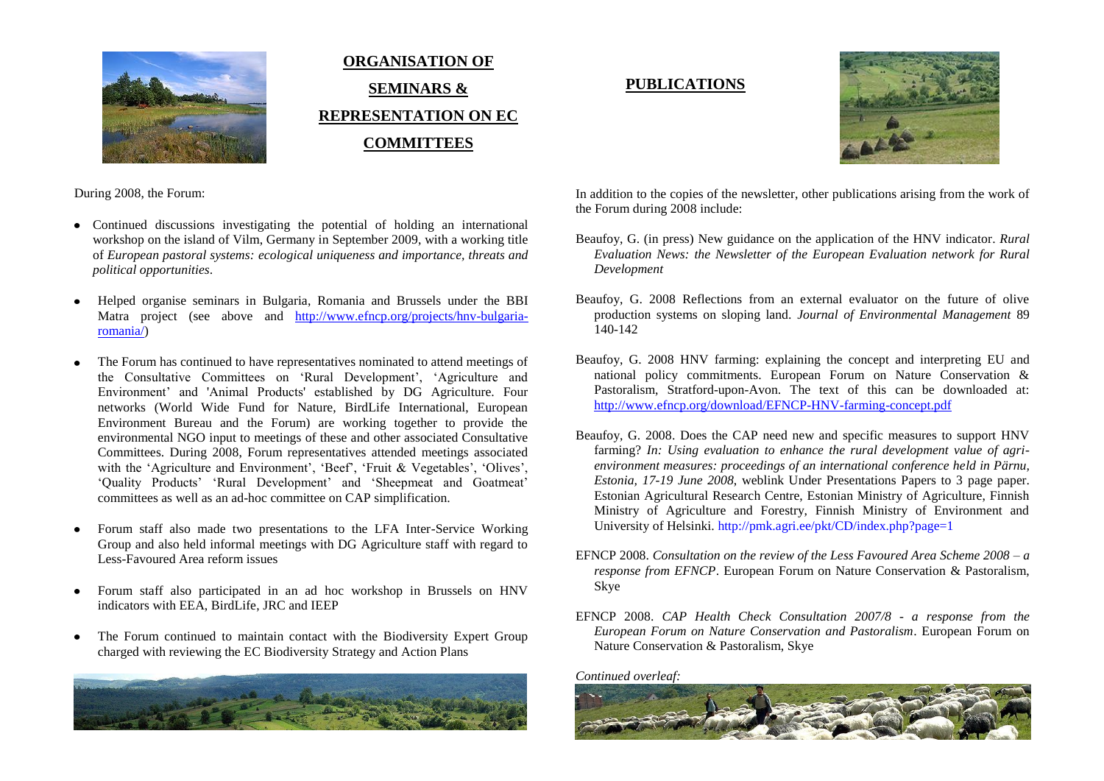

# **ORGANISATION OF SEMINARS & REPRESENTATION ON EC COMMITTEES**

## **PUBLICATIONS**



During 2008, the Forum:

- Continued discussions investigating the potential of holding an international workshop on the island of Vilm, Germany in September 2009, with a working title of *European pastoral systems: ecological uniqueness and importance, threats and political opportunities*.
- Helped organise seminars in Bulgaria, Romania and Brussels under the BBI Matra project (see above and [http://www.efncp.org/projects/hnv-bulgaria](http://www.efncp.org/projects/hnv-bulgaria-romania/)[romania/\)](http://www.efncp.org/projects/hnv-bulgaria-romania/)
- The Forum has continued to have representatives nominated to attend meetings of  $\bullet$ the Consultative Committees on 'Rural Development', 'Agriculture and Environment' and 'Animal Products' established by DG Agriculture. Four networks (World Wide Fund for Nature, BirdLife International, European Environment Bureau and the Forum) are working together to provide the environmental NGO input to meetings of these and other associated Consultative Committees. During 2008, Forum representatives attended meetings associated with the 'Agriculture and Environment', 'Beef', 'Fruit & Vegetables', 'Olives', 'Quality Products' 'Rural Development' and 'Sheepmeat and Goatmeat' committees as well as an ad-hoc committee on CAP simplification.
- Forum staff also made two presentations to the LFA Inter-Service Working  $\bullet$ Group and also held informal meetings with DG Agriculture staff with regard to Less-Favoured Area reform issues
- Forum staff also participated in an ad hoc workshop in Brussels on HNV indicators with EEA, BirdLife, JRC and IEEP
- The Forum continued to maintain contact with the Biodiversity Expert Group  $\bullet$ charged with reviewing the EC Biodiversity Strategy and Action Plans



In addition to the copies of the newsletter, other publications arising from the work of the Forum during 2008 include:

- Beaufoy, G. (in press) New guidance on the application of the HNV indicator. *Rural Evaluation News: the Newsletter of the European Evaluation network for Rural Development*
- Beaufoy, G. 2008 Reflections from an external evaluator on the future of olive production systems on sloping land. *Journal of Environmental Management* 89 140-142
- Beaufoy, G. 2008 HNV farming: explaining the concept and interpreting EU and national policy commitments. European Forum on Nature Conservation & Pastoralism, Stratford-upon-Avon. The text of this can be downloaded at: <http://www.efncp.org/download/EFNCP-HNV-farming-concept.pdf>
- Beaufoy, G. 2008. Does the CAP need new and specific measures to support HNV farming? *In: Using evaluation to enhance the rural development value of agrienvironment measures: proceedings of an international conference held in Pärnu, Estonia, 17-19 June 2008*, weblink Under Presentations Papers to 3 page paper. Estonian Agricultural Research Centre, Estonian Ministry of Agriculture, Finnish Ministry of Agriculture and Forestry, Finnish Ministry of Environment and University of Helsinki.<http://pmk.agri.ee/pkt/CD/index.php?page=1>
- EFNCP 2008. *Consultation on the review of the Less Favoured Area Scheme 2008 – a response from EFNCP*. European Forum on Nature Conservation & Pastoralism, Skye
- EFNCP 2008. *CAP Health Check Consultation 2007/8 - a response from the European Forum on Nature Conservation and Pastoralism*. European Forum on Nature Conservation & Pastoralism, Skye

*Continued overleaf:*

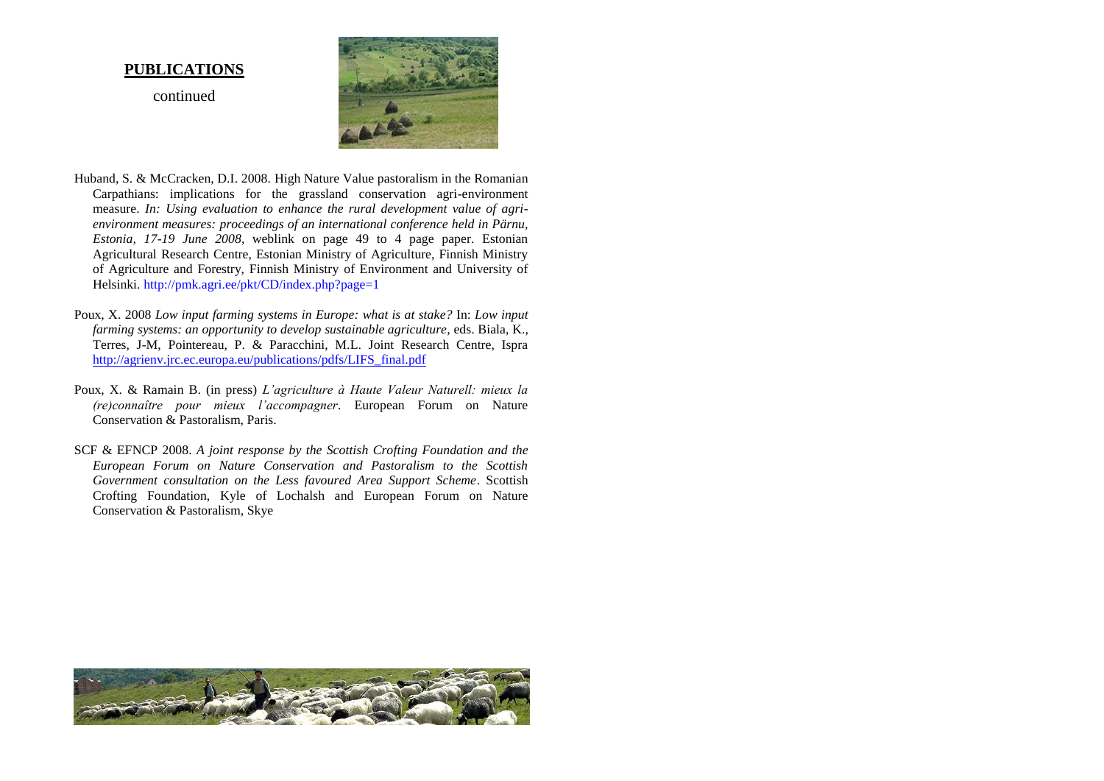#### **PUBLICATIONS**

continued



- Huband, S. & McCracken, D.I. 2008. High Nature Value pastoralism in the Romanian Carpathians: implications for the grassland conservation agri-environment measure. *In: Using evaluation to enhance the rural development value of agrienvironment measures: proceedings of an international conference held in Pärnu, Estonia, 17-19 June 2008*, weblink on page 49 to 4 page paper. Estonian Agricultural Research Centre, Estonian Ministry of Agriculture, Finnish Ministry of Agriculture and Forestry, Finnish Ministry of Environment and University of Helsinki.<http://pmk.agri.ee/pkt/CD/index.php?page=1>
- Poux, X. 2008 *Low input farming systems in Europe: what is at stake?* In: *Low input farming systems: an opportunity to develop sustainable agriculture*, eds. Biala, K., Terres, J-M, Pointereau, P. & Paracchini, M.L. Joint Research Centre, Ispra [http://agrienv.jrc.ec.europa.eu/publications/pdfs/LIFS\\_final.pdf](http://agrienv.jrc.ec.europa.eu/publications/pdfs/LIFS_final.pdf)
- Poux, X. & Ramain B. (in press) *L'agriculture à Haute Valeur Naturell: mieux la (re)connaître pour mieux l'accompagner*. European Forum on Nature Conservation & Pastoralism, Paris.
- SCF & EFNCP 2008. *A joint response by the Scottish Crofting Foundation and the European Forum on Nature Conservation and Pastoralism to the Scottish Government consultation on the Less favoured Area Support Scheme*. Scottish Crofting Foundation, Kyle of Lochalsh and European Forum on Nature Conservation & Pastoralism, Skye